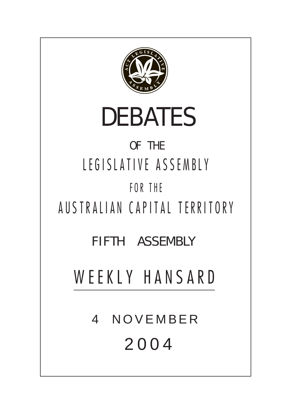

# DEBATES

# OF THE LEGISLATIVE ASSEMBLY FOR THE

AUSTRALIAN CAPITAL TERRITORY

FIFTH ASSEMBLY

WEEKLY HANSARD

4 NOVEMBER 2004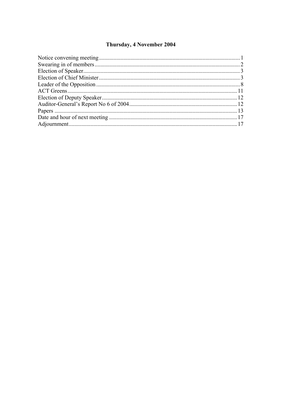#### Thursday, 4 November 2004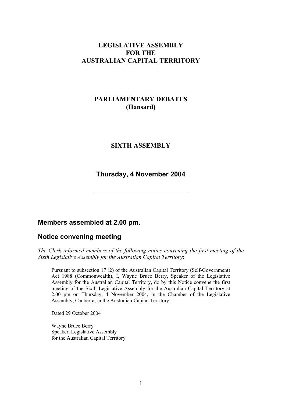#### **LEGISLATIVE ASSEMBLY FOR THE AUSTRALIAN CAPITAL TERRITORY**

# **PARLIAMENTARY DEBATES (Hansard)**

#### **SIXTH ASSEMBLY**

#### **Thursday, 4 November 2004**

#### **Members assembled at 2.00 pm.**

#### <span id="page-2-0"></span>**Notice convening meeting**

*The Clerk informed members of the following notice convening the first meeting of the Sixth Legislative Assembly for the Australian Capital Territory*:

Pursuant to subsection 17 (2) of the Australian Capital Territory (Self-Government) Act 1988 (Commonwealth), I, Wayne Bruce Berry, Speaker of the Legislative Assembly for the Australian Capital Territory, do by this Notice convene the first meeting of the Sixth Legislative Assembly for the Australian Capital Territory at 2.00 pm on Thursday, 4 November 2004, in the Chamber of the Legislative Assembly, Canberra, in the Australian Capital Territory.

Dated 29 October 2004

Wayne Bruce Berry Speaker, Legislative Assembly for the Australian Capital Territory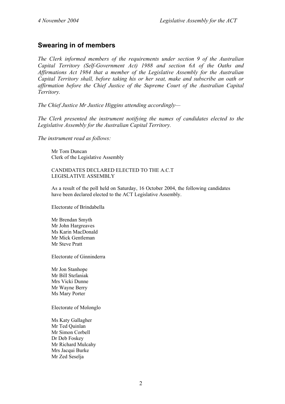# <span id="page-3-0"></span>**Swearing in of members**

*The Clerk informed members of the requirements under section 9 of the Australian Capital Territory (Self-Government Act) 1988 and section 6A of the Oaths and Affirmations Act 1984 that a member of the Legislative Assembly for the Australian Capital Territory shall, before taking his or her seat, make and subscribe an oath or affirmation before the Chief Justice of the Supreme Court of the Australian Capital Territory.* 

*The Chief Justice Mr Justice Higgins attending accordingly—* 

*The Clerk presented the instrument notifying the names of candidates elected to the Legislative Assembly for the Australian Capital Territory.* 

*The instrument read as follows:* 

Mr Tom Duncan Clerk of the Legislative Assembly

CANDIDATES DECLARED ELECTED TO THE A.C.T LEGISLATIVE ASSEMBLY

As a result of the poll held on Saturday, 16 October 2004, the following candidates have been declared elected to the ACT Legislative Assembly.

Electorate of Brindabella

Mr Brendan Smyth Mr John Hargreaves Ms Karin MacDonald Mr Mick Gentleman Mr Steve Pratt

Electorate of Ginninderra

Mr Jon Stanhope Mr Bill Stefaniak Mrs Vicki Dunne Mr Wayne Berry Ms Mary Porter

Electorate of Molonglo

Ms Katy Gallagher Mr Ted Quinlan Mr Simon Corbell Dr Deb Foskey Mr Richard Mulcahy Mrs Jacqui Burke Mr Zed Seselja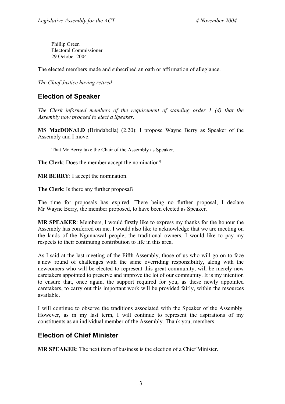Phillip Green Electoral Commissioner 29 October 2004

The elected members made and subscribed an oath or affirmation of allegiance.

*The Chief Justice having retired—* 

# <span id="page-4-0"></span>**Election of Speaker**

*The Clerk informed members of the requirement of standing order 1 (d) that the Assembly now proceed to elect a Speaker.* 

**MS MacDONALD** (Brindabella) (2.20): I propose Wayne Berry as Speaker of the Assembly and I move:

That Mr Berry take the Chair of the Assembly as Speaker.

**The Clerk**: Does the member accept the nomination?

**MR BERRY**: I accept the nomination.

**The Clerk**: Is there any further proposal?

The time for proposals has expired. There being no further proposal, I declare Mr Wayne Berry, the member proposed, to have been elected as Speaker.

**MR SPEAKER**: Members, I would firstly like to express my thanks for the honour the Assembly has conferred on me. I would also like to acknowledge that we are meeting on the lands of the Ngunnawal people, the traditional owners. I would like to pay my respects to their continuing contribution to life in this area.

As I said at the last meeting of the Fifth Assembly, those of us who will go on to face a new round of challenges with the same overriding responsibility, along with the newcomers who will be elected to represent this great community, will be merely new caretakers appointed to preserve and improve the lot of our community. It is my intention to ensure that, once again, the support required for you, as these newly appointed caretakers, to carry out this important work will be provided fairly, within the resources available.

I will continue to observe the traditions associated with the Speaker of the Assembly. However, as in my last term, I will continue to represent the aspirations of my constituents as an individual member of the Assembly. Thank you, members.

# <span id="page-4-1"></span>**Election of Chief Minister**

**MR SPEAKER**: The next item of business is the election of a Chief Minister.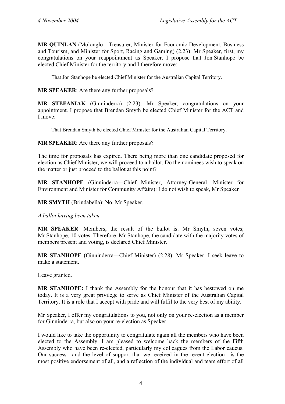**MR QUINLAN** (Molonglo—Treasurer, Minister for Economic Development, Business and Tourism, and Minister for Sport, Racing and Gaming) (2.23): Mr Speaker, first, my congratulations on your reappointment as Speaker. I propose that Jon Stanhope be elected Chief Minister for the territory and I therefore move:

That Jon Stanhope be elected Chief Minister for the Australian Capital Territory.

**MR SPEAKER**: Are there any further proposals?

**MR STEFANIAK** (Ginninderra) (2.23): Mr Speaker, congratulations on your appointment. I propose that Brendan Smyth be elected Chief Minister for the ACT and I move:

That Brendan Smyth be elected Chief Minister for the Australian Capital Territory.

**MR SPEAKER**: Are there any further proposals?

The time for proposals has expired. There being more than one candidate proposed for election as Chief Minister, we will proceed to a ballot. Do the nominees wish to speak on the matter or just proceed to the ballot at this point?

**MR STANHOPE** (Ginninderra—Chief Minister, Attorney-General, Minister for Environment and Minister for Community Affairs): I do not wish to speak, Mr Speaker

**MR SMYTH** (Brindabella): No, Mr Speaker.

*A ballot having been taken—* 

**MR SPEAKER**: Members, the result of the ballot is: Mr Smyth, seven votes; Mr Stanhope, 10 votes. Therefore, Mr Stanhope, the candidate with the majority votes of members present and voting, is declared Chief Minister.

**MR STANHOPE** (Ginninderra—Chief Minister) (2.28): Mr Speaker, I seek leave to make a statement.

Leave granted.

**MR STANHOPE:** I thank the Assembly for the honour that it has bestowed on me today. It is a very great privilege to serve as Chief Minister of the Australian Capital Territory. It is a role that I accept with pride and will fulfil to the very best of my ability.

Mr Speaker, I offer my congratulations to you, not only on your re-election as a member for Ginninderra, but also on your re-election as Speaker.

I would like to take the opportunity to congratulate again all the members who have been elected to the Assembly. I am pleased to welcome back the members of the Fifth Assembly who have been re-elected, particularly my colleagues from the Labor caucus. Our success—and the level of support that we received in the recent election—is the most positive endorsement of all, and a reflection of the individual and team effort of all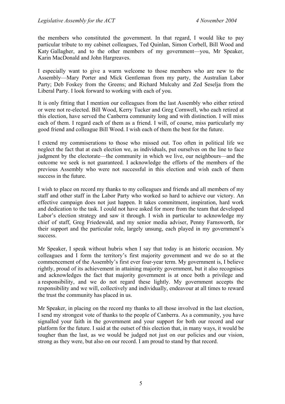the members who constituted the government. In that regard, I would like to pay particular tribute to my cabinet colleagues, Ted Quinlan, Simon Corbell, Bill Wood and Katy Gallagher, and to the other members of my government—you, Mr Speaker, Karin MacDonald and John Hargreaves.

I especially want to give a warm welcome to those members who are new to the Assembly—Mary Porter and Mick Gentleman from my party, the Australian Labor Party; Deb Foskey from the Greens; and Richard Mulcahy and Zed Seselja from the Liberal Party. I look forward to working with each of you.

It is only fitting that I mention our colleagues from the last Assembly who either retired or were not re-elected. Bill Wood, Kerry Tucker and Greg Cornwell, who each retired at this election, have served the Canberra community long and with distinction. I will miss each of them. I regard each of them as a friend. I will, of course, miss particularly my good friend and colleague Bill Wood. I wish each of them the best for the future.

I extend my commiserations to those who missed out. Too often in political life we neglect the fact that at each election we, as individuals, put ourselves on the line to face judgment by the electorate—the community in which we live, our neighbours—and the outcome we seek is not guaranteed. I acknowledge the efforts of the members of the previous Assembly who were not successful in this election and wish each of them success in the future.

I wish to place on record my thanks to my colleagues and friends and all members of my staff and other staff in the Labor Party who worked so hard to achieve our victory. An effective campaign does not just happen. It takes commitment, inspiration, hard work and dedication to the task. I could not have asked for more from the team that developed Labor's election strategy and saw it through. I wish in particular to acknowledge my chief of staff, Greg Friedewald, and my senior media adviser, Penny Farnsworth, for their support and the particular role, largely unsung, each played in my government's success.

Mr Speaker, I speak without hubris when I say that today is an historic occasion. My colleagues and I form the territory's first majority government and we do so at the commencement of the Assembly's first ever four-year term. My government is, I believe rightly, proud of its achievement in attaining majority government, but it also recognises and acknowledges the fact that majority government is at once both a privilege and a responsibility, and we do not regard these lightly. My government accepts the responsibility and we will, collectively and individually, endeavour at all times to reward the trust the community has placed in us.

Mr Speaker, in placing on the record my thanks to all those involved in the last election, I send my strongest vote of thanks to the people of Canberra. As a community, you have signalled your faith in the government and your support for both our record and our platform for the future. I said at the outset of this election that, in many ways, it would be tougher than the last, as we would be judged not just on our policies and our vision, strong as they were, but also on our record. I am proud to stand by that record.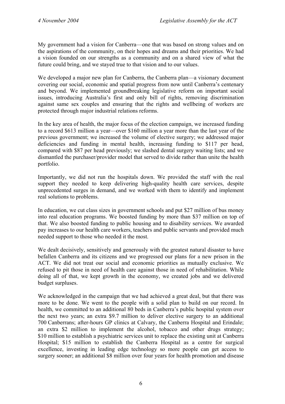My government had a vision for Canberra—one that was based on strong values and on the aspirations of the community, on their hopes and dreams and their priorities. We had a vision founded on our strengths as a community and on a shared view of what the future could bring, and we stayed true to that vision and to our values.

We developed a major new plan for Canberra, the Canberra plan—a visionary document covering our social, economic and spatial progress from now until Canberra's centenary and beyond. We implemented groundbreaking legislative reform on important social issues, introducing Australia's first and only bill of rights, removing discrimination against same sex couples and ensuring that the rights and wellbeing of workers are protected through major industrial relations reforms.

In the key area of health, the major focus of the election campaign, we increased funding to a record \$613 million a year—over \$160 million a year more than the last year of the previous government; we increased the volume of elective surgery; we addressed major deficiencies and funding in mental health, increasing funding to \$117 per head, compared with \$87 per head previously; we slashed dental surgery waiting lists; and we dismantled the purchaser/provider model that served to divide rather than unite the health portfolio.

Importantly, we did not run the hospitals down. We provided the staff with the real support they needed to keep delivering high-quality health care services, despite unprecedented surges in demand, and we worked with them to identify and implement real solutions to problems.

In education, we cut class sizes in government schools and put \$27 million of bus money into real education programs. We boosted funding by more than \$37 million on top of that. We also boosted funding to public housing and to disability services. We awarded pay increases to our health care workers, teachers and public servants and provided much needed support to those who needed it the most.

We dealt decisively, sensitively and generously with the greatest natural disaster to have befallen Canberra and its citizens and we progressed our plans for a new prison in the ACT. We did not treat our social and economic priorities as mutually exclusive. We refused to pit those in need of health care against those in need of rehabilitation. While doing all of that, we kept growth in the economy, we created jobs and we delivered budget surpluses.

We acknowledged in the campaign that we had achieved a great deal, but that there was more to be done. We went to the people with a solid plan to build on our record. In health, we committed to an additional 80 beds in Canberra's public hospital system over the next two years; an extra \$9.7 million to deliver elective surgery to an additional 700 Canberrans; after-hours GP clinics at Calvary, the Canberra Hospital and Erindale; an extra \$2 million to implement the alcohol, tobacco and other drugs strategy; \$10 million to establish a psychiatric services unit to replace the existing unit at Canberra Hospital; \$15 million to establish the Canberra Hospital as a centre for surgical excellence, investing in leading edge technology so more people can get access to surgery sooner; an additional \$8 million over four years for health promotion and disease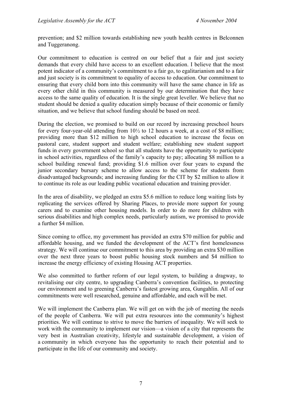prevention; and \$2 million towards establishing new youth health centres in Belconnen and Tuggeranong.

Our commitment to education is centred on our belief that a fair and just society demands that every child have access to an excellent education. I believe that the most potent indicator of a community's commitment to a fair go, to egalitarianism and to a fair and just society is its commitment to equality of access to education. Our commitment to ensuring that every child born into this community will have the same chance in life as every other child in this community is measured by our determination that they have access to the same quality of education. It is the single great leveller. We believe that no student should be denied a quality education simply because of their economic or family situation, and we believe that school funding should be based on need.

During the election, we promised to build on our record by increasing preschool hours for every four-year-old attending from 10½ to 12 hours a week, at a cost of \$8 million; providing more than \$12 million to high school education to increase the focus on pastoral care, student support and student welfare; establishing new student support funds in every government school so that all students have the opportunity to participate in school activities, regardless of the family's capacity to pay; allocating \$8 million to a school building renewal fund; providing \$1.6 million over four years to expand the junior secondary bursary scheme to allow access to the scheme for students from disadvantaged backgrounds; and increasing funding for the CIT by \$2 million to allow it to continue its role as our leading public vocational education and training provider.

In the area of disability, we pledged an extra \$5.6 million to reduce long waiting lists by replicating the services offered by Sharing Places, to provide more support for young carers and to examine other housing models. In order to do more for children with serious disabilities and high complex needs, particularly autism, we promised to provide a further \$4 million.

Since coming to office, my government has provided an extra \$70 million for public and affordable housing, and we funded the development of the ACT's first homelessness strategy. We will continue our commitment to this area by providing an extra \$30 million over the next three years to boost public housing stock numbers and \$4 million to increase the energy efficiency of existing Housing ACT properties.

We also committed to further reform of our legal system, to building a dragway, to revitalising our city centre, to upgrading Canberra's convention facilities, to protecting our environment and to greening Canberra's fastest growing area, Gungahlin. All of our commitments were well researched, genuine and affordable, and each will be met.

We will implement the Canberra plan. We will get on with the job of meeting the needs of the people of Canberra. We will put extra resources into the community's highest priorities. We will continue to strive to move the barriers of inequality. We will seek to work with the community to implement our vision—a vision of a city that represents the very best in Australian creativity, lifestyle and sustainable development, a vision of a community in which everyone has the opportunity to reach their potential and to participate in the life of our community and society.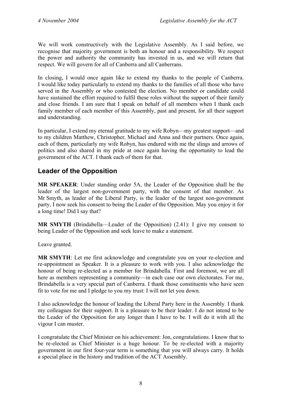We will work constructively with the Legislative Assembly. As I said before, we recognise that majority government is both an honour and a responsibility. We respect the power and authority the community has invested in us, and we will return that respect. We will govern for all of Canberra and all Canberrans.

In closing, I would once again like to extend my thanks to the people of Canberra. I would like today particularly to extend my thanks to the families of all those who have served in the Assembly or who contested the election. No member or candidate could have sustained the effort required to fulfil these roles without the support of their family and close friends. I am sure that I speak on behalf of all members when I thank each family member of each member of this Assembly, past and present, for all their support and understanding.

In particular, I extend my eternal gratitude to my wife Robyn—my greatest support—and to my children Matthew, Christopher, Michael and Anna and their partners. Once again, each of them, particularly my wife Robyn, has endured with me the slings and arrows of politics and also shared in my pride at once again having the opportunity to lead the government of the ACT. I thank each of them for that.

# <span id="page-9-0"></span>**Leader of the Opposition**

**MR SPEAKER**: Under standing order 5A, the Leader of the Opposition shall be the leader of the largest non-government party, with the consent of that member. As Mr Smyth, as leader of the Liberal Party, is the leader of the largest non-government party, I now seek his consent to being the Leader of the Opposition. May you enjoy it for a long time! Did I say that?

**MR SMYTH** (Brindabella—Leader of the Opposition) (2.41): I give my consent to being Leader of the Opposition and seek leave to make a statement.

Leave granted.

**MR SMYTH**: Let me first acknowledge and congratulate you on your re-election and re-appointment as Speaker. It is a pleasure to work with you. I also acknowledge the honour of being re-elected as a member for Brindabella. First and foremost, we are all here as members representing a community—in each case our own electorates. For me, Brindabella is a very special part of Canberra. I thank those constituents who have seen fit to vote for me and I pledge to you my trust: I will not let you down.

I also acknowledge the honour of leading the Liberal Party here in the Assembly. I thank my colleagues for their support. It is a pleasure to be their leader. I do not intend to be the Leader of the Opposition for any longer than I have to be. I will do it with all the vigour I can muster.

I congratulate the Chief Minister on his achievement: Jon, congratulations. I know that to be re-elected as Chief Minister is a huge honour. To be re-elected with a majority government in our first four-year term is something that you will always carry. It holds a special place in the history and tradition of the ACT Assembly.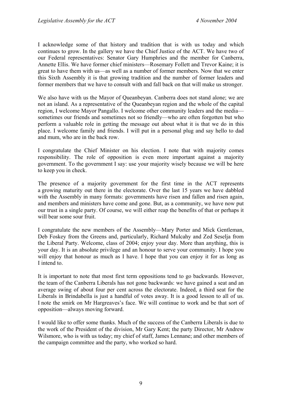I acknowledge some of that history and tradition that is with us today and which continues to grow. In the gallery we have the Chief Justice of the ACT. We have two of our Federal representatives: Senator Gary Humphries and the member for Canberra, Annette Ellis. We have former chief ministers—Rosemary Follett and Trevor Kaine; it is great to have them with us—as well as a number of former members. Now that we enter this Sixth Assembly it is that growing tradition and the number of former leaders and former members that we have to consult with and fall back on that will make us stronger.

We also have with us the Mayor of Oueanbeyan. Canberra does not stand alone; we are not an island. As a representative of the Queanbeyan region and the whole of the capital region, I welcome Mayor Pangallo. I welcome other community leaders and the media sometimes our friends and sometimes not so friendly—who are often forgotten but who perform a valuable role in getting the message out about what it is that we do in this place. I welcome family and friends. I will put in a personal plug and say hello to dad and mum, who are in the back row.

I congratulate the Chief Minister on his election. I note that with majority comes responsibility. The role of opposition is even more important against a majority government. To the government I say: use your majority wisely because we will be here to keep you in check.

The presence of a majority government for the first time in the ACT represents a growing maturity out there in the electorate. Over the last 15 years we have dabbled with the Assembly in many formats: governments have risen and fallen and risen again, and members and ministers have come and gone. But, as a community, we have now put our trust in a single party. Of course, we will either reap the benefits of that or perhaps it will bear some sour fruit.

I congratulate the new members of the Assembly—Mary Porter and Mick Gentleman, Deb Foskey from the Greens and, particularly, Richard Mulcahy and Zed Seselja from the Liberal Party. Welcome, class of 2004; enjoy your day. More than anything, this is your day. It is an absolute privilege and an honour to serve your community. I hope you will enjoy that honour as much as I have. I hope that you can enjoy it for as long as I intend to.

It is important to note that most first term oppositions tend to go backwards. However, the team of the Canberra Liberals has not gone backwards: we have gained a seat and an average swing of about four per cent across the electorate. Indeed, a third seat for the Liberals in Brindabella is just a handful of votes away. It is a good lesson to all of us. I note the smirk on Mr Hargreaves's face. We will continue to work and be that sort of opposition—always moving forward.

I would like to offer some thanks. Much of the success of the Canberra Liberals is due to the work of the President of the division, Mr Gary Kent; the party Director, Mr Andrew Wilsmore, who is with us today; my chief of staff, James Lennane; and other members of the campaign committee and the party, who worked so hard.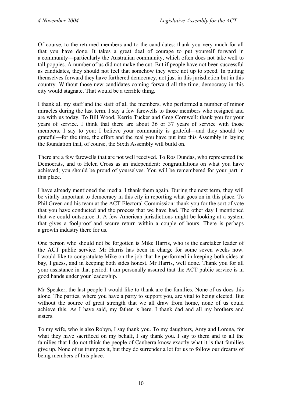Of course, to the returned members and to the candidates: thank you very much for all that you have done. It takes a great deal of courage to put yourself forward in a community—particularly the Australian community, which often does not take well to tall poppies. A number of us did not make the cut. But if people have not been successful as candidates, they should not feel that somehow they were not up to speed. In putting themselves forward they have furthered democracy, not just in this jurisdiction but in this country. Without those new candidates coming forward all the time, democracy in this city would stagnate. That would be a terrible thing.

I thank all my staff and the staff of all the members, who performed a number of minor miracles during the last term. I say a few farewells to those members who resigned and are with us today. To Bill Wood, Kerrie Tucker and Greg Cornwell: thank you for your years of service. I think that there are about 36 or 37 years of service with those members. I say to you: I believe your community is grateful—and they should be grateful—for the time, the effort and the zeal you have put into this Assembly in laying the foundation that, of course, the Sixth Assembly will build on.

There are a few farewells that are not well received. To Ros Dundas, who represented the Democrats, and to Helen Cross as an independent: congratulations on what you have achieved; you should be proud of yourselves. You will be remembered for your part in this place.

I have already mentioned the media. I thank them again. During the next term, they will be vitally important to democracy in this city in reporting what goes on in this place. To Phil Green and his team at the ACT Electoral Commission: thank you for the sort of vote that you have conducted and the process that we have had. The other day I mentioned that we could outsource it. A few American jurisdictions might be looking at a system that gives a foolproof and secure return within a couple of hours. There is perhaps a growth industry there for us.

One person who should not be forgotten is Mike Harris, who is the caretaker leader of the ACT public service. Mr Harris has been in charge for some seven weeks now. I would like to congratulate Mike on the job that he performed in keeping both sides at bay, I guess, and in keeping both sides honest. Mr Harris, well done. Thank you for all your assistance in that period. I am personally assured that the ACT public service is in good hands under your leadership.

Mr Speaker, the last people I would like to thank are the families. None of us does this alone. The parties, where you have a party to support you, are vital to being elected. But without the source of great strength that we all draw from home, none of us could achieve this. As I have said, my father is here. I thank dad and all my brothers and sisters.

To my wife, who is also Robyn, I say thank you. To my daughters, Amy and Lorena, for what they have sacrificed on my behalf, I say thank you. I say to them and to all the families that I do not think the people of Canberra know exactly what it is that families give up. None of us trumpets it, but they do surrender a lot for us to follow our dreams of being members of this place.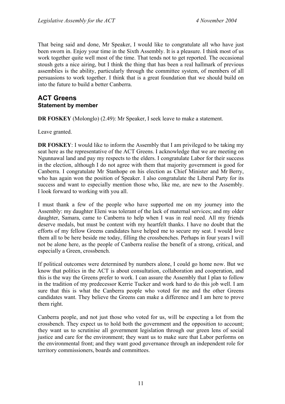That being said and done, Mr Speaker, I would like to congratulate all who have just been sworn in. Enjoy your time in the Sixth Assembly. It is a pleasure. I think most of us work together quite well most of the time. That tends not to get reported. The occasional stoush gets a nice airing, but I think the thing that has been a real hallmark of previous assemblies is the ability, particularly through the committee system, of members of all persuasions to work together. I think that is a great foundation that we should build on into the future to build a better Canberra.

#### <span id="page-12-0"></span>**ACT Greens Statement by member**

**DR FOSKEY** (Molonglo) (2.49): Mr Speaker, I seek leave to make a statement.

Leave granted.

**DR FOSKEY**: I would like to inform the Assembly that I am privileged to be taking my seat here as the representative of the ACT Greens. I acknowledge that we are meeting on Ngunnawal land and pay my respects to the elders. I congratulate Labor for their success in the election, although I do not agree with them that majority government is good for Canberra. I congratulate Mr Stanhope on his election as Chief Minister and Mr Berry, who has again won the position of Speaker. I also congratulate the Liberal Party for its success and want to especially mention those who, like me, are new to the Assembly. I look forward to working with you all.

I must thank a few of the people who have supported me on my journey into the Assembly: my daughter Eleni was tolerant of the lack of maternal services; and my older daughter, Samara, came to Canberra to help when I was in real need. All my friends deserve medals, but must be content with my heartfelt thanks. I have no doubt that the efforts of my fellow Greens candidates have helped me to secure my seat. I would love them all to be here beside me today, filling the crossbenches. Perhaps in four years I will not be alone here, as the people of Canberra realise the benefit of a strong, critical, and especially a Green, crossbench.

If political outcomes were determined by numbers alone, I could go home now. But we know that politics in the ACT is about consultation, collaboration and cooperation, and this is the way the Greens prefer to work. I can assure the Assembly that I plan to follow in the tradition of my predecessor Kerrie Tucker and work hard to do this job well. I am sure that this is what the Canberra people who voted for me and the other Greens candidates want. They believe the Greens can make a difference and I am here to prove them right.

Canberra people, and not just those who voted for us, will be expecting a lot from the crossbench. They expect us to hold both the government and the opposition to account; they want us to scrutinise all government legislation through our green lens of social justice and care for the environment; they want us to make sure that Labor performs on the environmental front; and they want good governance through an independent role for territory commissioners, boards and committees.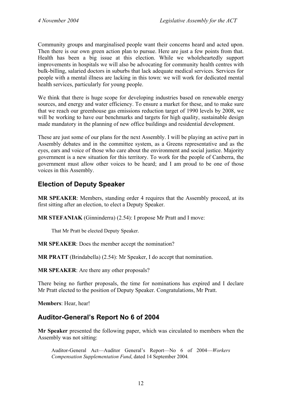Community groups and marginalised people want their concerns heard and acted upon. Then there is our own green action plan to pursue. Here are just a few points from that. Health has been a big issue at this election. While we wholeheartedly support improvements in hospitals we will also be advocating for community health centres with bulk-billing, salaried doctors in suburbs that lack adequate medical services. Services for people with a mental illness are lacking in this town: we will work for dedicated mental health services, particularly for young people.

We think that there is huge scope for developing industries based on renewable energy sources, and energy and water efficiency. To ensure a market for these, and to make sure that we reach our greenhouse gas emissions reduction target of 1990 levels by 2008, we will be working to have our benchmarks and targets for high quality, sustainable design made mandatory in the planning of new office buildings and residential development.

These are just some of our plans for the next Assembly. I will be playing an active part in Assembly debates and in the committee system, as a Greens representative and as the eyes, ears and voice of those who care about the environment and social justice. Majority government is a new situation for this territory. To work for the people of Canberra, the government must allow other voices to be heard; and I am proud to be one of those voices in this Assembly.

# <span id="page-13-0"></span>**Election of Deputy Speaker**

**MR SPEAKER**: Members, standing order 4 requires that the Assembly proceed, at its first sitting after an election, to elect a Deputy Speaker.

**MR STEFANIAK** (Ginninderra) (2.54): I propose Mr Pratt and I move:

That Mr Pratt be elected Deputy Speaker.

**MR SPEAKER**: Does the member accept the nomination?

**MR PRATT** (Brindabella) (2.54): Mr Speaker, I do accept that nomination.

**MR SPEAKER**: Are there any other proposals?

There being no further proposals, the time for nominations has expired and I declare Mr Pratt elected to the position of Deputy Speaker. Congratulations, Mr Pratt.

**Members**: Hear, hear!

# <span id="page-13-1"></span>**Auditor-General's Report No 6 of 2004**

**Mr Speaker** presented the following paper, which was circulated to members when the Assembly was not sitting:

Auditor-General Act—Auditor General's Report—No 6 of 2004—*Workers Compensation Supplementation Fund*, dated 14 September 2004*.*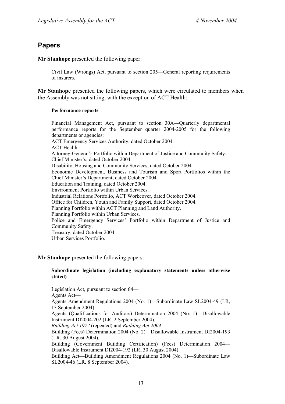## <span id="page-14-0"></span>**Papers**

**Mr Stanhope** presented the following paper:

Civil Law (Wrongs) Act, pursuant to section 205—General reporting requirements of insurers.

**Mr Stanhope** presented the following papers, which were circulated to members when the Assembly was not sitting, with the exception of ACT Health:

#### **Performance reports**

Financial Management Act, pursuant to section 30A—Quarterly departmental performance reports for the September quarter 2004-2005 for the following departments or agencies: ACT Emergency Services Authority, dated October 2004. ACT Health. Attorney-General's Portfolio within Department of Justice and Community Safety. Chief Minister's, dated October 2004. Disability, Housing and Community Services, dated October 2004. Economic Development, Business and Tourism and Sport Portfolios within the Chief Minister's Department, dated October 2004. Education and Training, dated October 2004. Environment Portfolio within Urban Services. Industrial Relations Portfolio, ACT Workcover, dated October 2004. Office for Children, Youth and Family Support, dated October 2004. Planning Portfolio within ACT Planning and Land Authority. Planning Portfolio within Urban Services. Police and Emergency Services' Portfolio within Department of Justice and Community Safety. Treasury, dated October 2004. Urban Services Portfolio.

#### **Mr Stanhope** presented the following papers:

#### **Subordinate legislation (including explanatory statements unless otherwise stated)**

Legislation Act, pursuant to section 64—

Agents Act—

Agents Amendment Regulations 2004 (No. 1)—Subordinate Law SL2004-49 (LR, 13 September 2004).

Agents (Qualifications for Auditors) Determination 2004 (No. 1)—Disallowable Instrument DI2004-202 (LR, 2 September 2004).

*Building Act 1972* (repealed) and *Building Act 2004*—

Building (Fees) Determination 2004 (No. 2)—Disallowable Instrument DI2004-193 (LR, 30 August 2004).

Building (Government Building Certification) (Fees) Determination 2004— Disallowable Instrument DI2004-192 (LR, 30 August 2004).

Building Act—Building Amendment Regulations 2004 (No. 1)—Subordinate Law SL2004-46 (LR, 8 September 2004).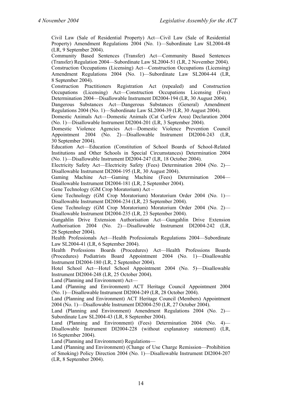Civil Law (Sale of Residential Property) Act—Civil Law (Sale of Residential Property) Amendment Regulations 2004 (No. 1)—Subordinate Law SL2004-48 (LR, 9 September 2004).

Community Based Sentences (Transfer) Act—Community Based Sentences (Transfer) Regulation 2004—Subordinate Law SL2004-51 (LR, 2 November 2004).

Construction Occupations (Licensing) Act—Construction Occupations (Licensing) Amendment Regulations 2004 (No. 1)—Subordinate Law SL2004-44 (LR, 8 September 2004).

Construction Practitioners Registration Act (repealed) and Construction Occupations (Licensing) Act—Construction Occupations Licensing (Fees) Determination 2004—Disallowable Instrument DI2004-194 (LR, 30 August 2004).

Dangerous Substances Act—Dangerous Substances (General) Amendment Regulations 2004 (No. 1)—Subordinate Law SL2004-39 (LR, 30 August 2004).

Domestic Animals Act—Domestic Animals (Cat Curfew Area) Declaration 2004 (No. 1)—Disallowable Instrument DI2004-201 (LR, 3 September 2004).

Domestic Violence Agencies Act—Domestic Violence Prevention Council Appointment 2004 (No. 2)—Disallowable Instrument DI2004-243 (LR, 30 September 2004).

Education Act—Education (Constitution of School Boards of School-Related Institutions and Other Schools in Special Circumstances) Determination 2004 (No. 1)—Disallowable Instrument DI2004-247 (LR, 18 October 2004).

Electricity Safety Act—Electricity Safety (Fees) Determination 2004 (No. 2)— Disallowable Instrument DI2004-195 (LR, 30 August 2004).

Gaming Machine Act—Gaming Machine (Fees) Determination 2004— Disallowable Instrument DI2004-181 (LR, 2 September 2004).

Gene Technology (GM Crop Moratorium) Act –

Gene Technology (GM Crop Moratorium) Moratorium Order 2004 (No. 1)— Disallowable Instrument DI2004-234 (LR, 23 September 2004).

Gene Technology (GM Crop Moratorium) Moratorium Order 2004 (No. 2)— Disallowable Instrument DI2004-235 (LR, 23 September 2004).

Gungahlin Drive Extension Authorisation Act—Gungahlin Drive Extension Authorisation 2004 (No. 2)—Disallowable Instrument DI2004-242 (LR, 28 September 2004).

Health Professionals Act—Health Professionals Regulations 2004—Subordinate Law SL2004-41 (LR, 6 September 2004).

Health Professions Boards (Procedures) Act—Health Professions Boards (Procedures) Podiatrists Board Appointment 2004 (No. 1)—Disallowable Instrument DI2004-180 (LR, 2 September 2004).

Hotel School Act—Hotel School Appointment 2004 (No. 5)—Disallowable Instrument DI2004-248 (LR, 25 October 2004).

Land (Planning and Environment) Act—

Land (Planning and Environment) ACT Heritage Council Appointment 2004 (No. 1)—Disallowable Instrument DI2004-249 (LR, 28 October 2004).

Land (Planning and Environment) ACT Heritage Council (Members) Appointment 2004 (No. 1)—Disallowable Instrument DI2004-250 (LR, 27 October 2004).

Land (Planning and Environment) Amendment Regulations 2004 (No. 2)— Subordinate Law SL2004-43 (LR, 8 September 2004).

Land (Planning and Environment) (Fees) Determination 2004 (No. 4)-Disallowable Instrument DI2004-228 (without explanatory statement) (LR, 16 September 2004).

Land (Planning and Environment) Regulations—

Land (Planning and Environment) (Change of Use Charge Remission—Prohibition of Smoking) Policy Direction 2004 (No. 1)—Disallowable Instrument DI2004-207 (LR, 8 September 2004).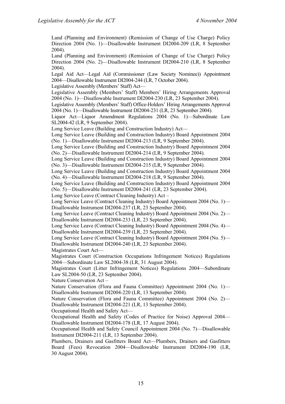Land (Planning and Environment) (Remission of Change of Use Charge) Policy Direction 2004 (No. 1)—Disallowable Instrument DI2004-209 (LR, 8 September 2004).

Land (Planning and Environment) (Remission of Change of Use Charge) Policy Direction 2004 (No. 2)—Disallowable Instrument DI2004-210 (LR, 8 September 2004).

Legal Aid Act—Legal Aid (Commissioner (Law Society Nominee)) Appointment 2004—Disallowable Instrument DI2004-244 (LR, 7 October 2004).

Legislative Assembly (Members' Staff) Act—

Legislative Assembly (Members' Staff) Members' Hiring Arrangements Approval 2004 (No. 1)—Disallowable Instrument DI2004-230 (LR, 23 September 2004).

Legislative Assembly (Members' Staff) Office-Holders' Hiring Arrangements Approval 2004 (No. 1)—Disallowable Instrument DI2004-231 (LR, 23 September 2004).

Liquor Act—Liquor Amendment Regulations 2004 (No. 1)—Subordinate Law SL2004-42 (LR, 9 September 2004).

Long Service Leave (Building and Construction Industry) Act—

Long Service Leave (Building and Construction Industry) Board Appointment 2004 (No. 1)—Disallowable Instrument DI2004-213 (LR, 9 September 2004).

Long Service Leave (Building and Construction Industry) Board Appointment 2004 (No. 2)—Disallowable Instrument DI2004-214 (LR, 9 September 2004).

Long Service Leave (Building and Construction Industry) Board Appointment 2004 (No. 3)—Disallowable Instrument DI2004-215 (LR, 9 September 2004).

Long Service Leave (Building and Construction Industry) Board Appointment 2004 (No. 4)—Disallowable Instrument DI2004-218 (LR, 9 September 2004).

Long Service Leave (Building and Construction Industry) Board Appointment 2004 (No. 5)—Disallowable Instrument DI2004-241 (LR, 23 September 2004).

Long Service Leave (Contract Cleaning Industry) Act –

Long Service Leave (Contract Cleaning Industry) Board Appointment 2004 (No. 1)— Disallowable Instrument DI2004-237 (LR, 23 September 2004).

Long Service Leave (Contract Cleaning Industry) Board Appointment 2004 (No. 2)— Disallowable Instrument DI2004-233 (LR, 23 September 2004).

Long Service Leave (Contract Cleaning Industry) Board Appointment 2004 (No. 4)— Disallowable Instrument DI2004-239 (LR, 23 September 2004).

Long Service Leave (Contract Cleaning Industry) Board Appointment 2004 (No. 5)— Disallowable Instrument DI2004-240 (LR, 23 September 2004).

Magistrates Court Act—

Magistrates Court (Construction Occupations Infringement Notices) Regulations 2004—Subordinate Law SL2004-38 (LR, 31 August 2004).

Magistrates Court (Litter Infringement Notices) Regulations 2004—Subordinate Law SL2004-50 (LR, 23 September 2004).

Nature Conservation Act –

Nature Conservation (Flora and Fauna Committee) Appointment 2004 (No. 1)— Disallowable Instrument DI2004-220 (LR, 13 September 2004).

Nature Conservation (Flora and Fauna Committee) Appointment 2004 (No. 2)— Disallowable Instrument DI2004-221 (LR, 13 September 2004).

Occupational Health and Safety Act—

Occupational Health and Safety (Codes of Practice for Noise) Approval 2004— Disallowable Instrument DI2004-178 (LR, 17 August 2004).

Occupational Health and Safety Council Appointment 2004 (No. 7)—Disallowable Instrument DI2004-211 (LR, 13 September 2004).

Plumbers, Drainers and Gasfitters Board Act—Plumbers, Drainers and Gasfitters Board (Fees) Revocation 2004—Disallowable Instrument DI2004-190 (LR, 30 August 2004).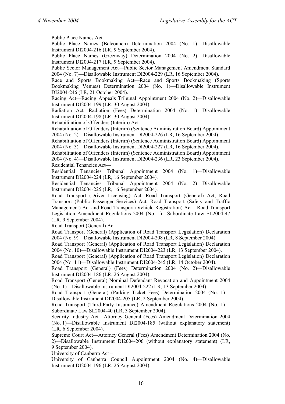Public Place Names Act— Public Place Names (Belconnen) Determination 2004 (No. 1)—Disallowable Instrument DI2004-216 (LR, 9 September 2004). Public Place Names (Greenway) Determination 2004 (No. 2)—Disallowable Instrument DI2004-217 (LR, 9 September 2004). Public Sector Management Act—Public Sector Management Amendment Standard 2004 (No. 7)—Disallowable Instrument DI2004-229 (LR, 16 September 2004). Race and Sports Bookmaking Act—Race and Sports Bookmaking (Sports Bookmaking Venues) Determination 2004 (No. 1)—Disallowable Instrument DI2004-246 (LR, 21 October 2004). Racing Act—Racing Appeals Tribunal Appointment 2004 (No. 2)—Disallowable Instrument DI2004-199 (LR, 30 August 2004). Radiation Act—Radiation (Fees) Determination 2004 (No. 1)—Disallowable Instrument DI2004-198 (LR, 30 August 2004). Rehabilitation of Offenders (Interim) Act – Rehabilitation of Offenders (Interim) (Sentence Administration Board) Appointment 2004 (No. 2)—Disallowable Instrument DI2004-226 (LR, 16 September 2004). Rehabilitation of Offenders (Interim) (Sentence Administration Board) Appointment 2004 (No. 3)—Disallowable Instrument DI2004-227 (LR, 16 September 2004). Rehabilitation of Offenders (Interim) (Sentence Administration Board) Appointment 2004 (No. 4)—Disallowable Instrument DI2004-236 (LR, 23 September 2004). Residential Tenancies Act— Residential Tenancies Tribunal Appointment 2004 (No. 1)—Disallowable Instrument DI2004-224 (LR, 16 September 2004). Residential Tenancies Tribunal Appointment 2004 (No. 2)—Disallowable Instrument DI2004-225 (LR, 16 September 2004). Road Transport (Driver Licensing) Act, Road Transport (General) Act, Road Transport (Public Passenger Services) Act, Road Transport (Safety and Traffic Management) Act and Road Transport (Vehicle Registration) Act—Road Transport Legislation Amendment Regulations 2004 (No. 1)—Subordinate Law SL2004-47 (LR, 9 September 2004).

Road Transport (General) Act –

Road Transport (General) (Application of Road Transport Legislation) Declaration 2004 (No. 9)—Disallowable Instrument DI2004-208 (LR, 8 September 2004).

Road Transport (General) (Application of Road Transport Legislation) Declaration 2004 (No. 10)—Disallowable Instrument DI2004-223 (LR, 13 September 2004).

Road Transport (General) (Application of Road Transport Legislation) Declaration 2004 (No. 11)—Disallowable Instrument DI2004-245 (LR, 14 October 2004).

Road Transport (General) (Fees) Determination 2004 (No. 2)—Disallowable Instrument DI2004-186 (LR, 26 August 2004).

Road Transport (General) Nominal Defendant Revocation and Appointment 2004 (No. 1)—Disallowable Instrument DI2004-222 (LR, 13 September 2004).

Road Transport (General) (Parking Ticket Fees) Determination 2004 (No. 1)— Disallowable Instrument DI2004-205 (LR, 2 September 2004).

Road Transport (Third-Party Insurance) Amendment Regulations 2004 (No. 1)— Subordinate Law SL2004-40 (LR, 3 September 2004).

Security Industry Act—Attorney General (Fees) Amendment Determination 2004 (No. 1)—Disallowable Instrument DI2004-185 (without explanatory statement) (LR, 6 September 2004).

Supreme Court Act—Attorney General (Fees) Amendment Determination 2004 (No. 2)—Disallowable Instrument DI2004-206 (without explanatory statement) (LR, 9 September 2004).

University of Canberra Act –

University of Canberra Council Appointment 2004 (No. 4)—Disallowable Instrument DI2004-196 (LR, 26 August 2004).